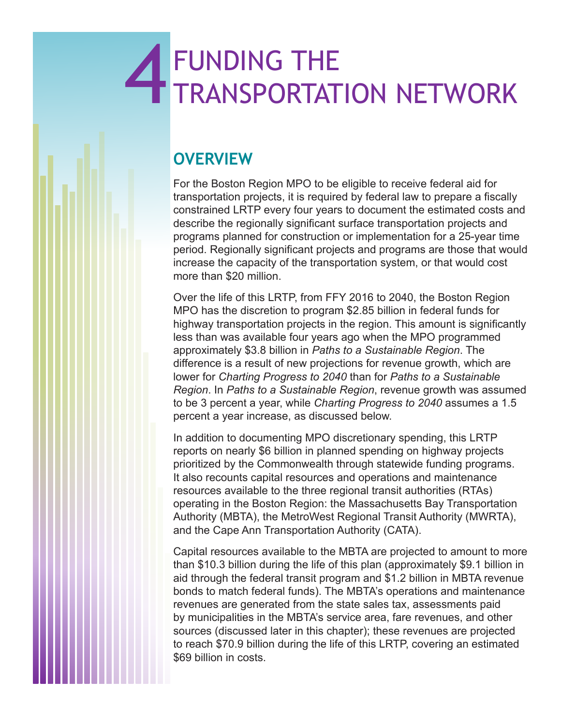# 4 FUNDING THE TRANSPORTATI TRANSPORTATION NETWORK

# **OVERVIEW**

For the Boston Region MPO to be eligible to receive federal aid for transportation projects, it is required by federal law to prepare a fiscally constrained LRTP every four years to document the estimated costs and describe the regionally significant surface transportation projects and programs planned for construction or implementation for a 25-year time period. Regionally significant projects and programs are those that would increase the capacity of the transportation system, or that would cost more than \$20 million.

Over the life of this LRTP, from FFY 2016 to 2040, the Boston Region MPO has the discretion to program \$2.85 billion in federal funds for highway transportation projects in the region. This amount is significantly less than was available four years ago when the MPO programmed approximately \$3.8 billion in *Paths to a Sustainable Region*. The difference is a result of new projections for revenue growth, which are lower for *Charting Progress to 2040* than for *Paths to a Sustainable Region*. In *Paths to a Sustainable Region*, revenue growth was assumed to be 3 percent a year, while *Charting Progress to 2040* assumes a 1.5 percent a year increase, as discussed below.

In addition to documenting MPO discretionary spending, this LRTP reports on nearly \$6 billion in planned spending on highway projects prioritized by the Commonwealth through statewide funding programs. It also recounts capital resources and operations and maintenance resources available to the three regional transit authorities (RTAs) operating in the Boston Region: the Massachusetts Bay Transportation Authority (MBTA), the MetroWest Regional Transit Authority (MWRTA), and the Cape Ann Transportation Authority (CATA).

Capital resources available to the MBTA are projected to amount to more than \$10.3 billion during the life of this plan (approximately \$9.1 billion in aid through the federal transit program and \$1.2 billion in MBTA revenue bonds to match federal funds). The MBTA's operations and maintenance revenues are generated from the state sales tax, assessments paid by municipalities in the MBTA's service area, fare revenues, and other sources (discussed later in this chapter); these revenues are projected to reach \$70.9 billion during the life of this LRTP, covering an estimated \$69 billion in costs.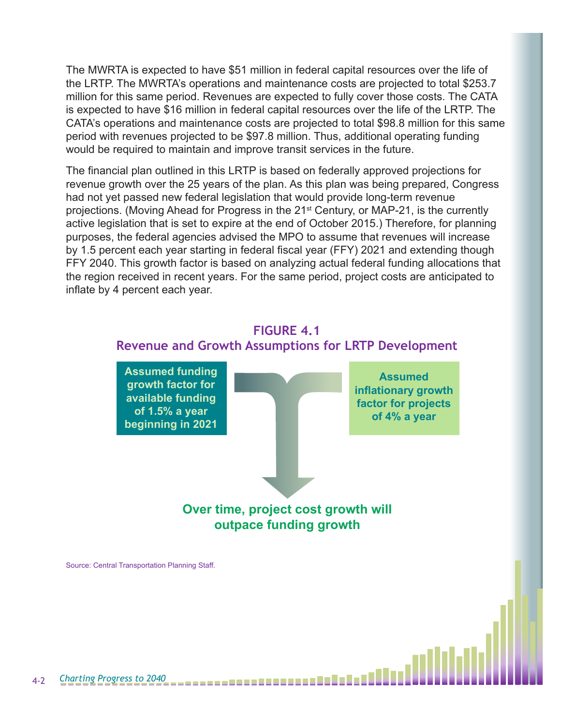The MWRTA is expected to have \$51 million in federal capital resources over the life of the LRTP. The MWRTA's operations and maintenance costs are projected to total \$253.7 million for this same period. Revenues are expected to fully cover those costs. The CATA is expected to have \$16 million in federal capital resources over the life of the LRTP. The CATA's operations and maintenance costs are projected to total \$98.8 million for this same period with revenues projected to be \$97.8 million. Thus, additional operating funding would be required to maintain and improve transit services in the future.

The financial plan outlined in this LRTP is based on federally approved projections for revenue growth over the 25 years of the plan. As this plan was being prepared, Congress had not yet passed new federal legislation that would provide long-term revenue projections. (Moving Ahead for Progress in the 21<sup>st</sup> Century, or MAP-21, is the currently active legislation that is set to expire at the end of October 2015.) Therefore, for planning purposes, the federal agencies advised the MPO to assume that revenues will increase by 1.5 percent each year starting in federal fiscal year (FFY) 2021 and extending though FFY 2040. This growth factor is based on analyzing actual federal funding allocations that the region received in recent years. For the same period, project costs are anticipated to inflate by 4 percent each year.



Source: Central Transportation Planning Staff.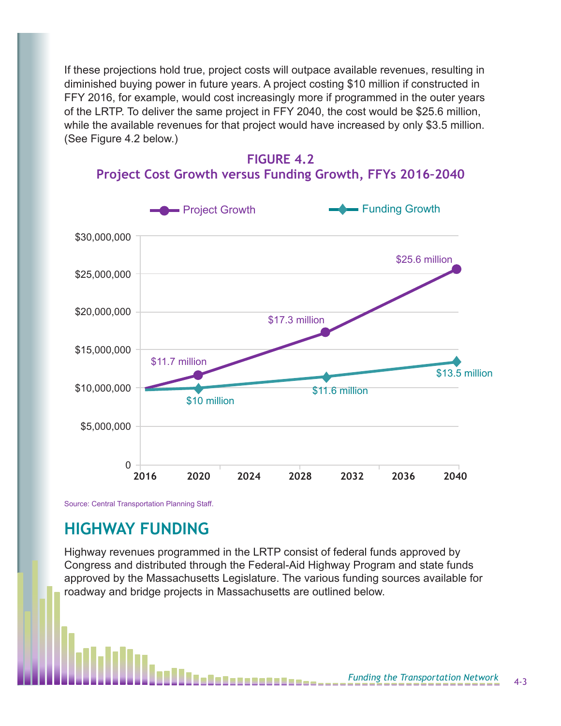If these projections hold true, project costs will outpace available revenues, resulting in diminished buying power in future years. A project costing \$10 million if constructed in FFY 2016, for example, would cost increasingly more if programmed in the outer years of the LRTP. To deliver the same project in FFY 2040, the cost would be \$25.6 million, while the available revenues for that project would have increased by only \$3.5 million. (See Figure 4.2 below.)





#### **Project Cost Growth versus Funding Growth, FFYs 2016–2040**

Source: Central Transportation Planning Staff.

# **HIGHWAY FUNDING**

Highway revenues programmed in the LRTP consist of federal funds approved by Congress and distributed through the Federal-Aid Highway Program and state funds approved by the Massachusetts Legislature. The various funding sources available for roadway and bridge projects in Massachusetts are outlined below.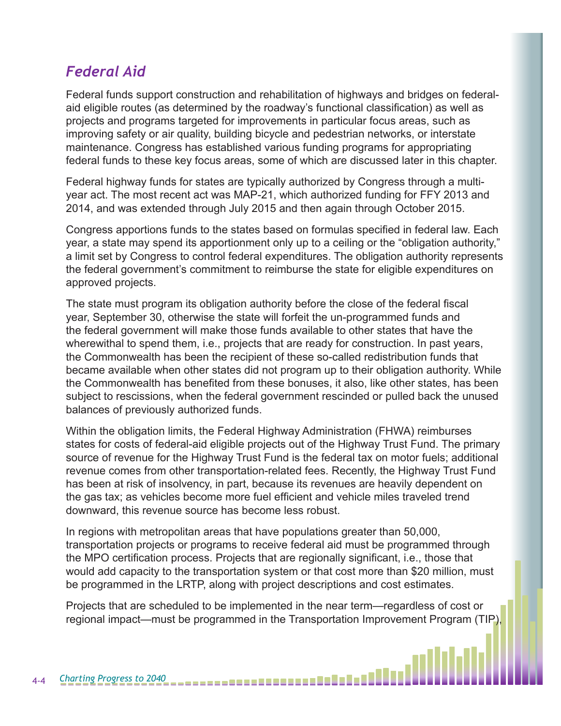# *Federal Aid*

Federal funds support construction and rehabilitation of highways and bridges on federalaid eligible routes (as determined by the roadway's functional classification) as well as projects and programs targeted for improvements in particular focus areas, such as improving safety or air quality, building bicycle and pedestrian networks, or interstate maintenance. Congress has established various funding programs for appropriating federal funds to these key focus areas, some of which are discussed later in this chapter.

Federal highway funds for states are typically authorized by Congress through a multiyear act. The most recent act was MAP-21, which authorized funding for FFY 2013 and 2014, and was extended through July 2015 and then again through October 2015.

Congress apportions funds to the states based on formulas specified in federal law. Each year, a state may spend its apportionment only up to a ceiling or the "obligation authority," a limit set by Congress to control federal expenditures. The obligation authority represents the federal government's commitment to reimburse the state for eligible expenditures on approved projects.

The state must program its obligation authority before the close of the federal fiscal year, September 30, otherwise the state will forfeit the un-programmed funds and the federal government will make those funds available to other states that have the wherewithal to spend them, i.e., projects that are ready for construction. In past years, the Commonwealth has been the recipient of these so-called redistribution funds that became available when other states did not program up to their obligation authority. While the Commonwealth has benefited from these bonuses, it also, like other states, has been subject to rescissions, when the federal government rescinded or pulled back the unused balances of previously authorized funds.

Within the obligation limits, the Federal Highway Administration (FHWA) reimburses states for costs of federal-aid eligible projects out of the Highway Trust Fund. The primary source of revenue for the Highway Trust Fund is the federal tax on motor fuels; additional revenue comes from other transportation-related fees. Recently, the Highway Trust Fund has been at risk of insolvency, in part, because its revenues are heavily dependent on the gas tax; as vehicles become more fuel efficient and vehicle miles traveled trend downward, this revenue source has become less robust.

In regions with metropolitan areas that have populations greater than 50,000, transportation projects or programs to receive federal aid must be programmed through the MPO certification process. Projects that are regionally significant, i.e., those that would add capacity to the transportation system or that cost more than \$20 million, must be programmed in the LRTP, along with project descriptions and cost estimates.

Projects that are scheduled to be implemented in the near term—regardless of cost or regional impact—must be programmed in the Transportation Improvement Program (TIP),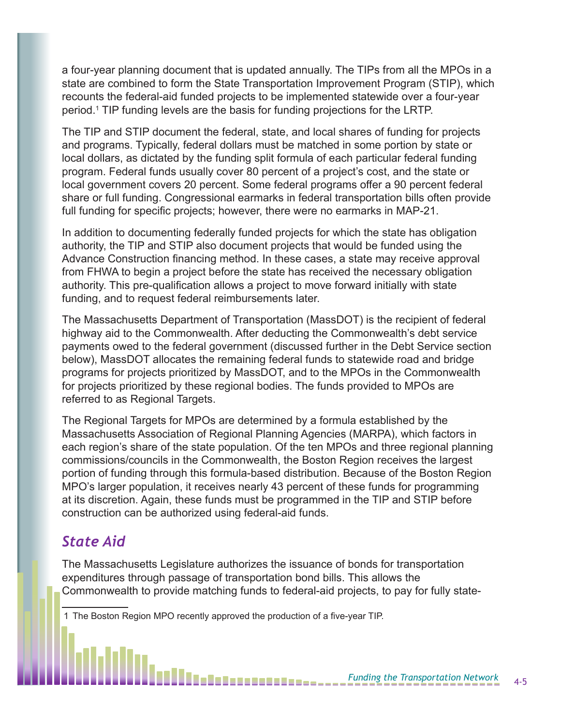a four-year planning document that is updated annually. The TIPs from all the MPOs in a state are combined to form the State Transportation Improvement Program (STIP), which recounts the federal-aid funded projects to be implemented statewide over a four-year period.1 TIP funding levels are the basis for funding projections for the LRTP.

The TIP and STIP document the federal, state, and local shares of funding for projects and programs. Typically, federal dollars must be matched in some portion by state or local dollars, as dictated by the funding split formula of each particular federal funding program. Federal funds usually cover 80 percent of a project's cost, and the state or local government covers 20 percent. Some federal programs offer a 90 percent federal share or full funding. Congressional earmarks in federal transportation bills often provide full funding for specific projects; however, there were no earmarks in MAP-21.

In addition to documenting federally funded projects for which the state has obligation authority, the TIP and STIP also document projects that would be funded using the Advance Construction financing method. In these cases, a state may receive approval from FHWA to begin a project before the state has received the necessary obligation authority. This pre-qualification allows a project to move forward initially with state funding, and to request federal reimbursements later.

The Massachusetts Department of Transportation (MassDOT) is the recipient of federal highway aid to the Commonwealth. After deducting the Commonwealth's debt service payments owed to the federal government (discussed further in the Debt Service section below), MassDOT allocates the remaining federal funds to statewide road and bridge programs for projects prioritized by MassDOT, and to the MPOs in the Commonwealth for projects prioritized by these regional bodies. The funds provided to MPOs are referred to as Regional Targets.

The Regional Targets for MPOs are determined by a formula established by the Massachusetts Association of Regional Planning Agencies (MARPA), which factors in each region's share of the state population. Of the ten MPOs and three regional planning commissions/councils in the Commonwealth, the Boston Region receives the largest portion of funding through this formula-based distribution. Because of the Boston Region MPO's larger population, it receives nearly 43 percent of these funds for programming at its discretion. Again, these funds must be programmed in the TIP and STIP before construction can be authorized using federal-aid funds.

## *State Aid*

The Massachusetts Legislature authorizes the issuance of bonds for transportation expenditures through passage of transportation bond bills. This allows the Commonwealth to provide matching funds to federal-aid projects, to pay for fully state-

1 The Boston Region MPO recently approved the production of a five-year TIP.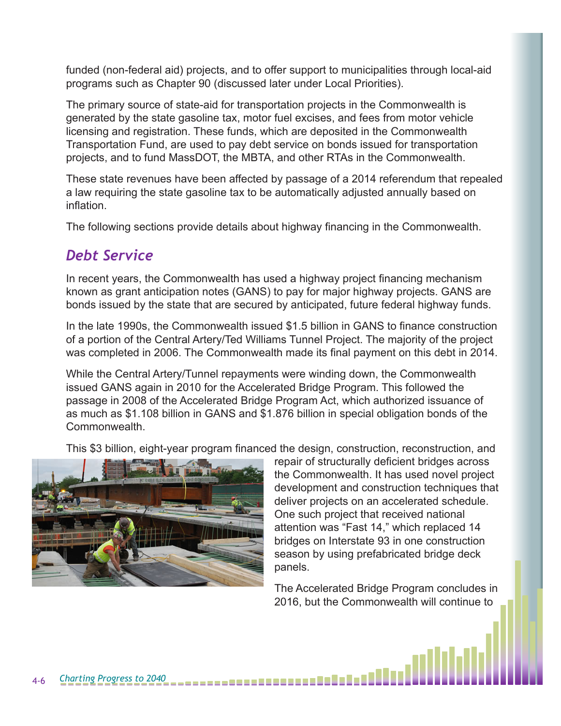funded (non-federal aid) projects, and to offer support to municipalities through local-aid programs such as Chapter 90 (discussed later under Local Priorities).

The primary source of state-aid for transportation projects in the Commonwealth is generated by the state gasoline tax, motor fuel excises, and fees from motor vehicle licensing and registration. These funds, which are deposited in the Commonwealth Transportation Fund, are used to pay debt service on bonds issued for transportation projects, and to fund MassDOT, the MBTA, and other RTAs in the Commonwealth.

These state revenues have been affected by passage of a 2014 referendum that repealed a law requiring the state gasoline tax to be automatically adjusted annually based on inflation.

The following sections provide details about highway financing in the Commonwealth.

# *Debt Service*

In recent years, the Commonwealth has used a highway project financing mechanism known as grant anticipation notes (GANS) to pay for major highway projects. GANS are bonds issued by the state that are secured by anticipated, future federal highway funds.

In the late 1990s, the Commonwealth issued \$1.5 billion in GANS to finance construction of a portion of the Central Artery/Ted Williams Tunnel Project. The majority of the project was completed in 2006. The Commonwealth made its final payment on this debt in 2014.

While the Central Artery/Tunnel repayments were winding down, the Commonwealth issued GANS again in 2010 for the Accelerated Bridge Program. This followed the passage in 2008 of the Accelerated Bridge Program Act, which authorized issuance of as much as \$1.108 billion in GANS and \$1.876 billion in special obligation bonds of the Commonwealth.

This \$3 billion, eight-year program financed the design, construction, reconstruction, and



repair of structurally deficient bridges across the Commonwealth. It has used novel project development and construction techniques that deliver projects on an accelerated schedule. One such project that received national attention was "Fast 14," which replaced 14 bridges on Interstate 93 in one construction season by using prefabricated bridge deck panels.

The Accelerated Bridge Program concludes in 2016, but the Commonwealth will continue to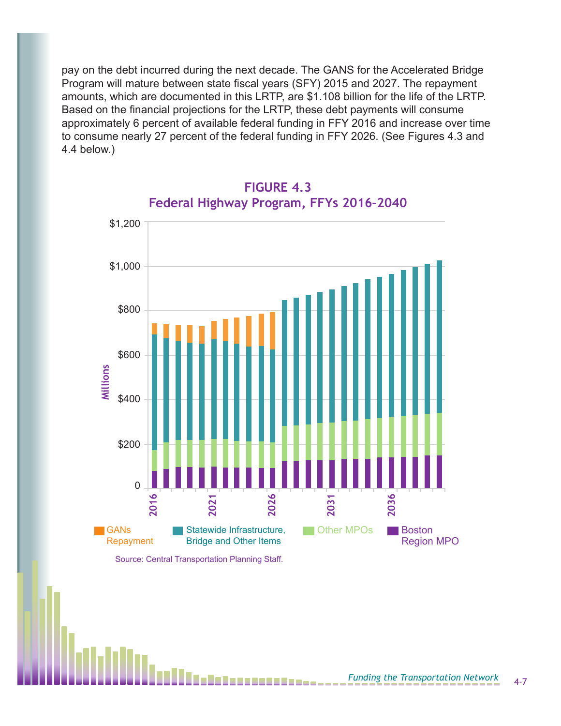pay on the debt incurred during the next decade. The GANS for the Accelerated Bridge Program will mature between state fiscal years (SFY) 2015 and 2027. The repayment amounts, which are documented in this LRTP, are \$1.108 billion for the life of the LRTP. Based on the financial projections for the LRTP, these debt payments will consume approximately 6 percent of available federal funding in FFY 2016 and increase over time to consume nearly 27 percent of the federal funding in FFY 2026. (See Figures 4.3 and 4.4 below.)



#### **FIGURE 4.3 Federal Highway Program, FFYs 2016–2040**

Source: Central Transportation Planning Staff.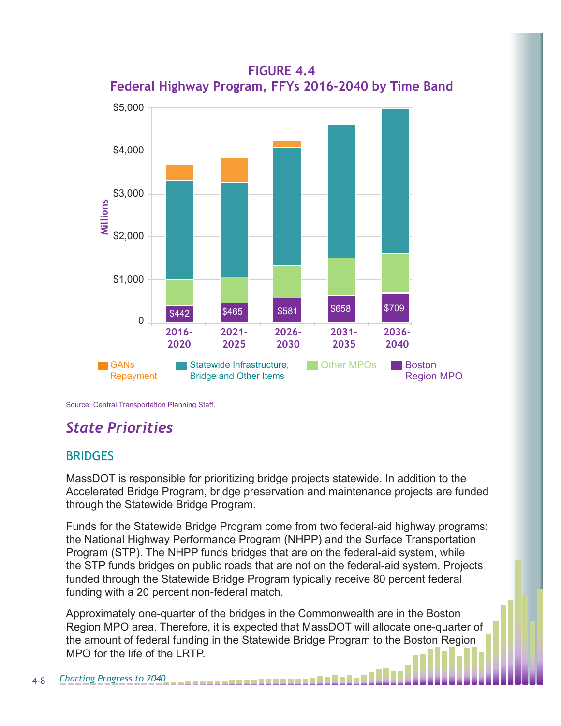

**FIGURE 4.4 Federal Highway Program, FFYs 2016–2040 by Time Band**

Source: Central Transportation Planning Staff.

# *State Priorities*

#### BRIDGES

MassDOT is responsible for prioritizing bridge projects statewide. In addition to the Accelerated Bridge Program, bridge preservation and maintenance projects are funded through the Statewide Bridge Program.

Funds for the Statewide Bridge Program come from two federal-aid highway programs: the National Highway Performance Program (NHPP) and the Surface Transportation Program (STP). The NHPP funds bridges that are on the federal-aid system, while the STP funds bridges on public roads that are not on the federal-aid system. Projects funded through the Statewide Bridge Program typically receive 80 percent federal funding with a 20 percent non-federal match.

Approximately one-quarter of the bridges in the Commonwealth are in the Boston Region MPO area. Therefore, it is expected that MassDOT will allocate one-quarter of the amount of federal funding in the Statewide Bridge Program to the Boston Region MPO for the life of the LRTP.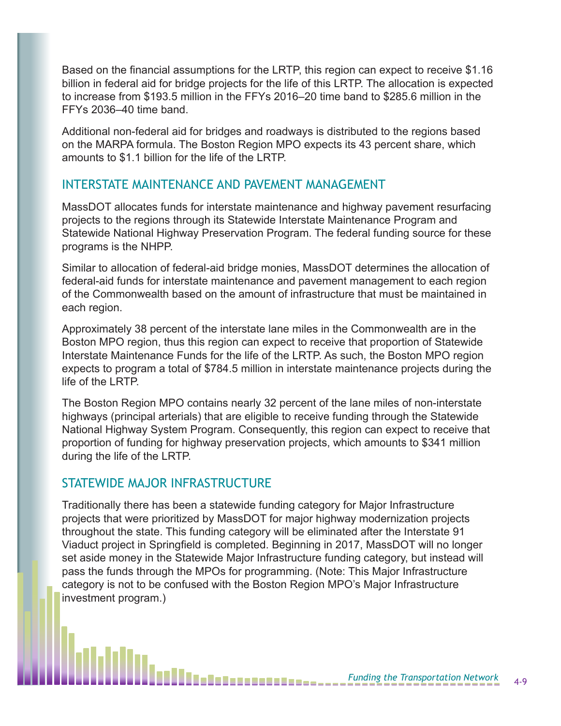Based on the financial assumptions for the LRTP, this region can expect to receive \$1.16 billion in federal aid for bridge projects for the life of this LRTP. The allocation is expected to increase from \$193.5 million in the FFYs 2016–20 time band to \$285.6 million in the FFYs 2036–40 time band.

Additional non-federal aid for bridges and roadways is distributed to the regions based on the MARPA formula. The Boston Region MPO expects its 43 percent share, which amounts to \$1.1 billion for the life of the LRTP.

#### INTERSTATE MAINTENANCE AND PAVEMENT MANAGEMENT

MassDOT allocates funds for interstate maintenance and highway pavement resurfacing projects to the regions through its Statewide Interstate Maintenance Program and Statewide National Highway Preservation Program. The federal funding source for these programs is the NHPP.

Similar to allocation of federal-aid bridge monies, MassDOT determines the allocation of federal-aid funds for interstate maintenance and pavement management to each region of the Commonwealth based on the amount of infrastructure that must be maintained in each region.

Approximately 38 percent of the interstate lane miles in the Commonwealth are in the Boston MPO region, thus this region can expect to receive that proportion of Statewide Interstate Maintenance Funds for the life of the LRTP. As such, the Boston MPO region expects to program a total of \$784.5 million in interstate maintenance projects during the life of the LRTP.

The Boston Region MPO contains nearly 32 percent of the lane miles of non-interstate highways (principal arterials) that are eligible to receive funding through the Statewide National Highway System Program. Consequently, this region can expect to receive that proportion of funding for highway preservation projects, which amounts to \$341 million during the life of the LRTP.

#### STATEWIDE MAJOR INFRASTRUCTURE

Traditionally there has been a statewide funding category for Major Infrastructure projects that were prioritized by MassDOT for major highway modernization projects throughout the state. This funding category will be eliminated after the Interstate 91 Viaduct project in Springfield is completed. Beginning in 2017, MassDOT will no longer set aside money in the Statewide Major Infrastructure funding category, but instead will pass the funds through the MPOs for programming. (Note: This Major Infrastructure category is not to be confused with the Boston Region MPO's Major Infrastructure investment program.)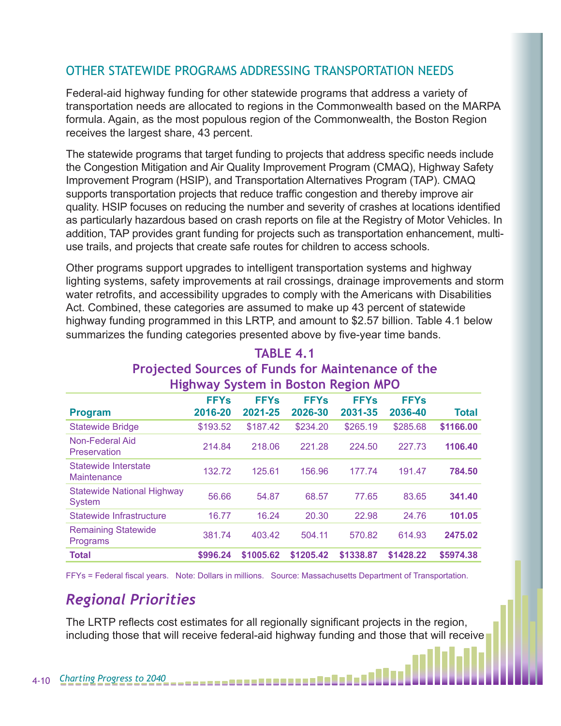#### OTHER STATEWIDE PROGRAMS ADDRESSING TRANSPORTATION NEEDS

Federal-aid highway funding for other statewide programs that address a variety of transportation needs are allocated to regions in the Commonwealth based on the MARPA formula. Again, as the most populous region of the Commonwealth, the Boston Region receives the largest share, 43 percent.

The statewide programs that target funding to projects that address specific needs include the Congestion Mitigation and Air Quality Improvement Program (CMAQ), Highway Safety Improvement Program (HSIP), and Transportation Alternatives Program (TAP). CMAQ supports transportation projects that reduce traffic congestion and thereby improve air quality. HSIP focuses on reducing the number and severity of crashes at locations identified as particularly hazardous based on crash reports on file at the Registry of Motor Vehicles. In addition, TAP provides grant funding for projects such as transportation enhancement, multiuse trails, and projects that create safe routes for children to access schools.

Other programs support upgrades to intelligent transportation systems and highway lighting systems, safety improvements at rail crossings, drainage improvements and storm water retrofits, and accessibility upgrades to comply with the Americans with Disabilities Act. Combined, these categories are assumed to make up 43 percent of statewide highway funding programmed in this LRTP, and amount to \$2.57 billion. Table 4.1 below summarizes the funding categories presented above by five-year time bands.

| <b>HIRIIWAY SYSLEIII III DOSLOH KERIDII MFU</b> |             |             |             |             |             |              |  |  |
|-------------------------------------------------|-------------|-------------|-------------|-------------|-------------|--------------|--|--|
|                                                 | <b>FFYs</b> | <b>FFYs</b> | <b>FFYs</b> | <b>FFYs</b> | <b>FFYs</b> |              |  |  |
| <b>Program</b>                                  | 2016-20     | 2021-25     | 2026-30     | 2031-35     | 2036-40     | <b>Total</b> |  |  |
| <b>Statewide Bridge</b>                         | \$193.52    | \$187.42    | \$234.20    | \$265.19    | \$285.68    | \$1166.00    |  |  |
| Non-Federal Aid<br>Preservation                 | 214.84      | 218.06      | 221.28      | 224.50      | 227.73      | 1106.40      |  |  |
| Statewide Interstate<br><b>Maintenance</b>      | 132.72      | 125.61      | 156.96      | 177.74      | 191.47      | 784.50       |  |  |
| <b>Statewide National Highway</b><br>System     | 56.66       | 54.87       | 68.57       | 77.65       | 83.65       | 341.40       |  |  |
| Statewide Infrastructure                        | 16.77       | 16.24       | 20.30       | 22.98       | 24.76       | 101.05       |  |  |
| <b>Remaining Statewide</b><br>Programs          | 381.74      | 403.42      | 504.11      | 570.82      | 614.93      | 2475.02      |  |  |
| <b>Total</b>                                    | \$996.24    | \$1005.62   | \$1205.42   | \$1338.87   | \$1428.22   | \$5974.38    |  |  |

#### **TABLE 4.1 Projected Sources of Funds for Maintenance of the Highway System in Boston Region MPO**

FFYs = Federal fiscal years. Note: Dollars in millions. Source: Massachusetts Department of Transportation.

# *Regional Priorities*

The LRTP reflects cost estimates for all regionally significant projects in the region, including those that will receive federal-aid highway funding and those that will receive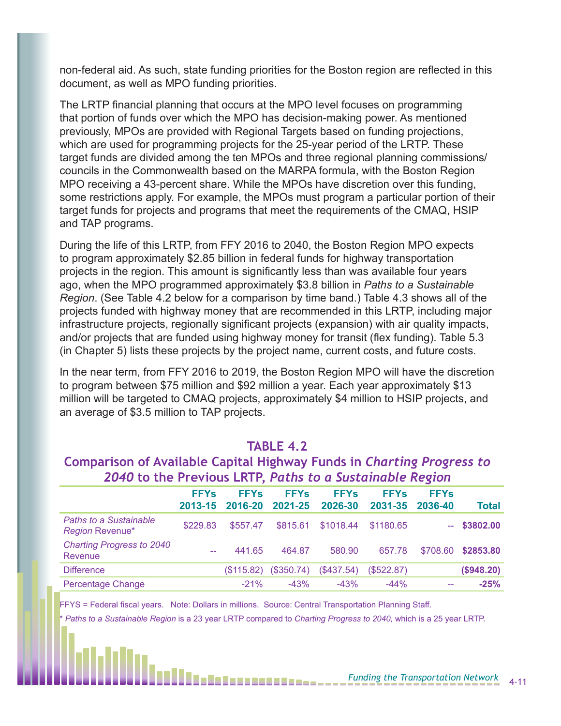non-federal aid. As such, state funding priorities for the Boston region are reflected in this document, as well as MPO funding priorities.

The LRTP financial planning that occurs at the MPO level focuses on programming that portion of funds over which the MPO has decision-making power. As mentioned previously, MPOs are provided with Regional Targets based on funding projections, which are used for programming projects for the 25-year period of the LRTP. These target funds are divided among the ten MPOs and three regional planning commissions/ councils in the Commonwealth based on the MARPA formula, with the Boston Region MPO receiving a 43-percent share. While the MPOs have discretion over this funding, some restrictions apply. For example, the MPOs must program a particular portion of their target funds for projects and programs that meet the requirements of the CMAQ, HSIP and TAP programs.

During the life of this LRTP, from FFY 2016 to 2040, the Boston Region MPO expects to program approximately \$2.85 billion in federal funds for highway transportation projects in the region. This amount is significantly less than was available four years ago, when the MPO programmed approximately \$3.8 billion in *Paths to a Sustainable Region*. (See Table 4.2 below for a comparison by time band.) Table 4.3 shows all of the projects funded with highway money that are recommended in this LRTP, including major infrastructure projects, regionally significant projects (expansion) with air quality impacts, and/or projects that are funded using highway money for transit (flex funding). Table 5.3 (in Chapter 5) lists these projects by the project name, current costs, and future costs.

In the near term, from FFY 2016 to 2019, the Boston Region MPO will have the discretion to program between \$75 million and \$92 million a year. Each year approximately \$13 million will be targeted to CMAQ projects, approximately \$4 million to HSIP projects, and an average of \$3.5 million to TAP projects.

#### **TABLE 4.2**

#### **Comparison of Available Capital Highway Funds in** *Charting Progress to 2040* **to the Previous LRTP,** *Paths to a Sustainable Region*

|                                                         | <b>FFYs</b><br>2013-15 | <b>FFYs</b><br>2016-20 | <b>FFYs</b><br>2021-25 | <b>FFYs</b><br>2026-30 | <b>FFYs</b><br>2031-35 | <b>FFYs</b><br>2036-40 | <b>Total</b>  |
|---------------------------------------------------------|------------------------|------------------------|------------------------|------------------------|------------------------|------------------------|---------------|
| <b>Paths to a Sustainable</b><br><b>Region Revenue*</b> | \$229.83               | \$557.47               | \$815.61               | \$1018.44              | \$1180.65              |                        | $-$ \$3802.00 |
| <b>Charting Progress to 2040</b><br>Revenue             | --                     | 441.65                 | 464.87                 | 580.90                 | 657.78                 | \$708.60               | \$2853.80     |
| <b>Difference</b>                                       |                        | (S115.82)              | (\$350.74)             | (\$437.54)             | (S522.87)              |                        | (\$948.20)    |
| <b>Percentage Change</b>                                |                        | $-21%$                 | $-43%$                 | $-43%$                 | $-44%$                 | $-$                    | $-25%$        |

FFYS = Federal fiscal years. Note: Dollars in millions. Source: Central Transportation Planning Staff.

\* *Paths to a Sustainable Region* is a 23 year LRTP compared to *Charting Progress to 2040,* which is a 25 year LRTP.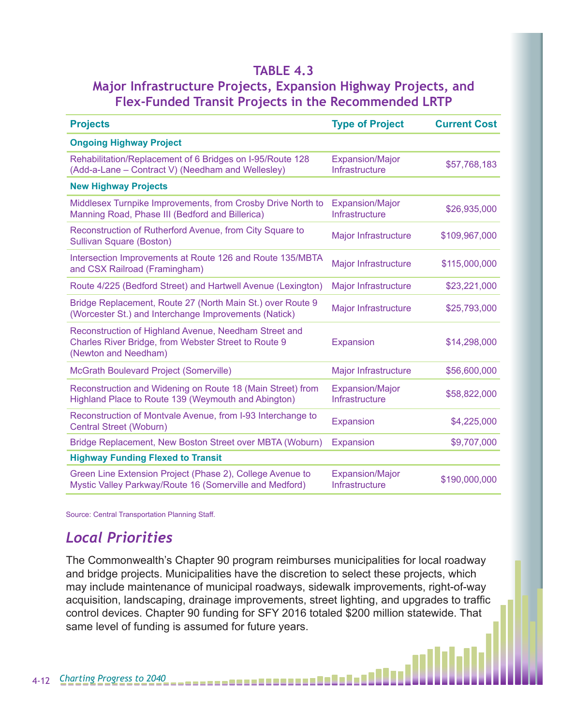#### **TABLE 4.3**

#### **Major Infrastructure Projects, Expansion Highway Projects, and Flex-Funded Transit Projects in the Recommended LRTP**

| <b>Projects</b>                                                                                                                       | <b>Type of Project</b>                   | <b>Current Cost</b> |
|---------------------------------------------------------------------------------------------------------------------------------------|------------------------------------------|---------------------|
| <b>Ongoing Highway Project</b>                                                                                                        |                                          |                     |
| Rehabilitation/Replacement of 6 Bridges on I-95/Route 128<br>(Add-a-Lane – Contract V) (Needham and Wellesley)                        | <b>Expansion/Major</b><br>Infrastructure | \$57,768,183        |
| <b>New Highway Projects</b>                                                                                                           |                                          |                     |
| Middlesex Turnpike Improvements, from Crosby Drive North to<br>Manning Road, Phase III (Bedford and Billerica)                        | <b>Expansion/Major</b><br>Infrastructure | \$26,935,000        |
| Reconstruction of Rutherford Avenue, from City Square to<br>Sullivan Square (Boston)                                                  | <b>Major Infrastructure</b>              | \$109,967,000       |
| Intersection Improvements at Route 126 and Route 135/MBTA<br>and CSX Railroad (Framingham)                                            | <b>Major Infrastructure</b>              | \$115,000,000       |
| Route 4/225 (Bedford Street) and Hartwell Avenue (Lexington)                                                                          | <b>Major Infrastructure</b>              | \$23,221,000        |
| Bridge Replacement, Route 27 (North Main St.) over Route 9<br>(Worcester St.) and Interchange Improvements (Natick)                   | Major Infrastructure                     | \$25,793,000        |
| Reconstruction of Highland Avenue, Needham Street and<br>Charles River Bridge, from Webster Street to Route 9<br>(Newton and Needham) | Expansion                                | \$14,298,000        |
| McGrath Boulevard Project (Somerville)                                                                                                | Major Infrastructure                     | \$56,600,000        |
| Reconstruction and Widening on Route 18 (Main Street) from<br>Highland Place to Route 139 (Weymouth and Abington)                     | <b>Expansion/Major</b><br>Infrastructure | \$58,822,000        |
| Reconstruction of Montvale Avenue, from I-93 Interchange to<br>Central Street (Woburn)                                                | Expansion                                | \$4,225,000         |
| Bridge Replacement, New Boston Street over MBTA (Woburn)                                                                              | Expansion                                | \$9,707,000         |
| <b>Highway Funding Flexed to Transit</b>                                                                                              |                                          |                     |
| Green Line Extension Project (Phase 2), College Avenue to<br>Mystic Valley Parkway/Route 16 (Somerville and Medford)                  | <b>Expansion/Major</b><br>Infrastructure | \$190,000,000       |

Source: Central Transportation Planning Staff.

# *Local Priorities*

The Commonwealth's Chapter 90 program reimburses municipalities for local roadway and bridge projects. Municipalities have the discretion to select these projects, which may include maintenance of municipal roadways, sidewalk improvements, right-of-way acquisition, landscaping, drainage improvements, street lighting, and upgrades to traffic control devices. Chapter 90 funding for SFY 2016 totaled \$200 million statewide. That same level of funding is assumed for future years.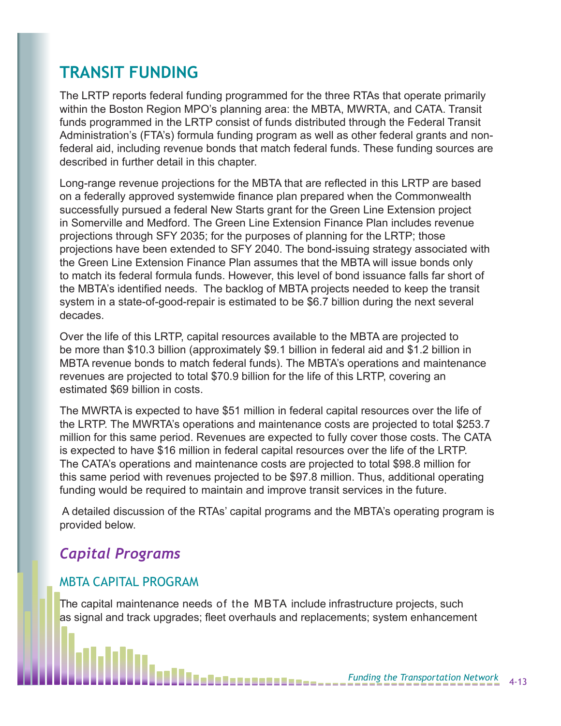# **TRANSIT FUNDING**

The LRTP reports federal funding programmed for the three RTAs that operate primarily within the Boston Region MPO's planning area: the MBTA, MWRTA, and CATA. Transit funds programmed in the LRTP consist of funds distributed through the Federal Transit Administration's (FTA's) formula funding program as well as other federal grants and nonfederal aid, including revenue bonds that match federal funds. These funding sources are described in further detail in this chapter.

Long-range revenue projections for the MBTA that are reflected in this LRTP are based on a federally approved systemwide finance plan prepared when the Commonwealth successfully pursued a federal New Starts grant for the Green Line Extension project in Somerville and Medford. The Green Line Extension Finance Plan includes revenue projections through SFY 2035; for the purposes of planning for the LRTP; those projections have been extended to SFY 2040. The bond-issuing strategy associated with the Green Line Extension Finance Plan assumes that the MBTA will issue bonds only to match its federal formula funds. However, this level of bond issuance falls far short of the MBTA's identified needs. The backlog of MBTA projects needed to keep the transit system in a state-of-good-repair is estimated to be \$6.7 billion during the next several decades.

Over the life of this LRTP, capital resources available to the MBTA are projected to be more than \$10.3 billion (approximately \$9.1 billion in federal aid and \$1.2 billion in MBTA revenue bonds to match federal funds). The MBTA's operations and maintenance revenues are projected to total \$70.9 billion for the life of this LRTP, covering an estimated \$69 billion in costs.

The MWRTA is expected to have \$51 million in federal capital resources over the life of the LRTP. The MWRTA's operations and maintenance costs are projected to total \$253.7 million for this same period. Revenues are expected to fully cover those costs. The CATA is expected to have \$16 million in federal capital resources over the life of the LRTP. The CATA's operations and maintenance costs are projected to total \$98.8 million for this same period with revenues projected to be \$97.8 million. Thus, additional operating funding would be required to maintain and improve transit services in the future.

 A detailed discussion of the RTAs' capital programs and the MBTA's operating program is provided below.

# *Capital Programs*

#### MBTA CAPITAL PROGRAM

The capital maintenance needs of the MBTA include infrastructure projects, such as signal and track upgrades; fleet overhauls and replacements; system enhancement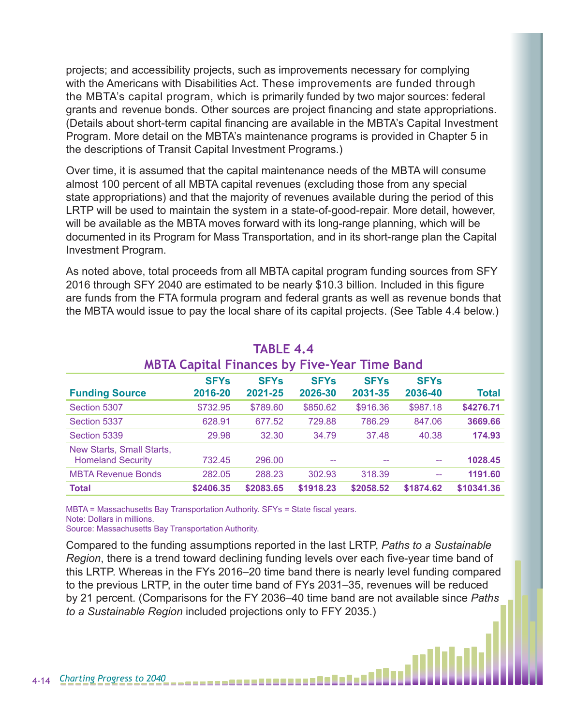projects; and accessibility projects, such as improvements necessary for complying with the Americans with Disabilities Act. These improvements are funded through the MBTA's capital program, which is primarily funded by two major sources: federal grants and revenue bonds. Other sources are project financing and state appropriations. (Details about short-term capital financing are available in the MBTA's Capital Investment Program. More detail on the MBTA's maintenance programs is provided in Chapter 5 in the descriptions of Transit Capital Investment Programs.)

Over time, it is assumed that the capital maintenance needs of the MBTA will consume almost 100 percent of all MBTA capital revenues (excluding those from any special state appropriations) and that the majority of revenues available during the period of this LRTP will be used to maintain the system in a state-of-good-repair. More detail, however, will be available as the MBTA moves forward with its long-range planning, which will be documented in its Program for Mass Transportation, and in its short-range plan the Capital Investment Program.

As noted above, total proceeds from all MBTA capital program funding sources from SFY 2016 through SFY 2040 are estimated to be nearly \$10.3 billion. Included in this figure are funds from the FTA formula program and federal grants as well as revenue bonds that the MBTA would issue to pay the local share of its capital projects. (See Table 4.4 below.)

| <b>MBTA Capital Finances by Five-Year Time Band</b>   |                        |                        |                        |                        |                        |            |  |  |
|-------------------------------------------------------|------------------------|------------------------|------------------------|------------------------|------------------------|------------|--|--|
| <b>Funding Source</b>                                 | <b>SFYs</b><br>2016-20 | <b>SFYs</b><br>2021-25 | <b>SFYs</b><br>2026-30 | <b>SFYs</b><br>2031-35 | <b>SFYs</b><br>2036-40 | Total      |  |  |
| Section 5307                                          | \$732.95               | \$789.60               | \$850.62               | \$916.36               | \$987.18               | \$4276.71  |  |  |
| Section 5337                                          | 628.91                 | 677.52                 | 729.88                 | 786.29                 | 847.06                 | 3669.66    |  |  |
| Section 5339                                          | 29.98                  | 32.30                  | 34.79                  | 37.48                  | 40.38                  | 174.93     |  |  |
| New Starts, Small Starts,<br><b>Homeland Security</b> | 732.45                 | 296.00                 | --                     | --                     | $\sim$ $\sim$          | 1028.45    |  |  |
| <b>MBTA Revenue Bonds</b>                             | 282.05                 | 288.23                 | 302.93                 | 318.39                 | $-$                    | 1191.60    |  |  |
| <b>Total</b>                                          | \$2406.35              | \$2083.65              | \$1918.23              | \$2058.52              | \$1874.62              | \$10341.36 |  |  |

# **TABLE 4.4**

MBTA = Massachusetts Bay Transportation Authority. SFYs = State fiscal years. Note: Dollars in millions.

Source: Massachusetts Bay Transportation Authority.

Compared to the funding assumptions reported in the last LRTP, *Paths to a Sustainable Region*, there is a trend toward declining funding levels over each five-year time band of this LRTP. Whereas in the FYs 2016–20 time band there is nearly level funding compared to the previous LRTP, in the outer time band of FYs 2031–35, revenues will be reduced by 21 percent. (Comparisons for the FY 2036–40 time band are not available since *Paths to a Sustainable Region* included projections only to FFY 2035.)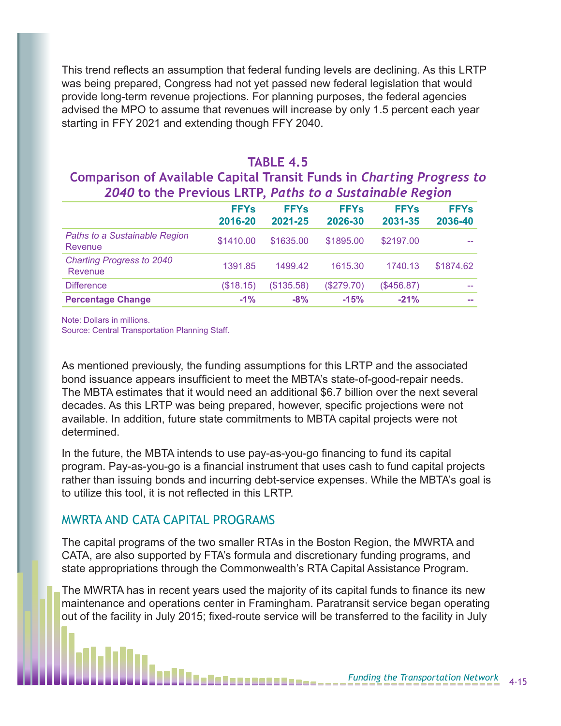This trend reflects an assumption that federal funding levels are declining. As this LRTP was being prepared, Congress had not yet passed new federal legislation that would provide long-term revenue projections. For planning purposes, the federal agencies advised the MPO to assume that revenues will increase by only 1.5 percent each year starting in FFY 2021 and extending though FFY 2040.

#### **TABLE 4.5**

#### **Comparison of Available Capital Transit Funds in** *Charting Progress to 2040* **to the Previous LRTP,** *Paths to a Sustainable Region*

|                                             | <b>FFYs</b><br>2016-20 | <b>FFYs</b><br>2021-25 | <b>FFYs</b><br>2026-30 | <b>FFYs</b><br>2031-35 | <b>FFYs</b><br>2036-40 |  |
|---------------------------------------------|------------------------|------------------------|------------------------|------------------------|------------------------|--|
| Paths to a Sustainable Region<br>Revenue    | \$1410.00              | \$1635.00              | \$1895.00              | \$2197.00              |                        |  |
| <b>Charting Progress to 2040</b><br>Revenue | 1391.85                | 1499.42                | 1615.30                | 1740.13                | \$1874.62              |  |
| <b>Difference</b>                           | (\$18.15)              | (\$135.58)             | (\$279.70)             | $(\$456.87)$           | $- -$                  |  |
| <b>Percentage Change</b>                    | $-1%$                  | $-8%$                  | $-15%$                 | $-21%$                 | <b>COLOR</b>           |  |

Note: Dollars in millions.

Source: Central Transportation Planning Staff.

As mentioned previously, the funding assumptions for this LRTP and the associated bond issuance appears insufficient to meet the MBTA's state-of-good-repair needs. The MBTA estimates that it would need an additional \$6.7 billion over the next several decades. As this LRTP was being prepared, however, specific projections were not available. In addition, future state commitments to MBTA capital projects were not determined.

In the future, the MBTA intends to use pay-as-you-go financing to fund its capital program. Pay-as-you-go is a financial instrument that uses cash to fund capital projects rather than issuing bonds and incurring debt-service expenses. While the MBTA's goal is to utilize this tool, it is not reflected in this LRTP.

#### MWRTA AND CATA CAPITAL PROGRAMS

The capital programs of the two smaller RTAs in the Boston Region, the MWRTA and CATA, are also supported by FTA's formula and discretionary funding programs, and state appropriations through the Commonwealth's RTA Capital Assistance Program.

The MWRTA has in recent years used the majority of its capital funds to finance its new maintenance and operations center in Framingham. Paratransit service began operating out of the facility in July 2015; fixed-route service will be transferred to the facility in July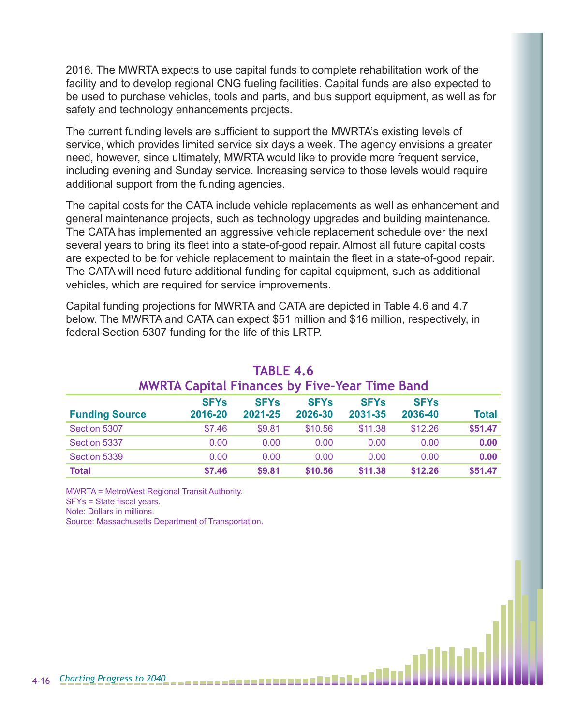2016. The MWRTA expects to use capital funds to complete rehabilitation work of the facility and to develop regional CNG fueling facilities. Capital funds are also expected to be used to purchase vehicles, tools and parts, and bus support equipment, as well as for safety and technology enhancements projects.

The current funding levels are sufficient to support the MWRTA's existing levels of service, which provides limited service six days a week. The agency envisions a greater need, however, since ultimately, MWRTA would like to provide more frequent service, including evening and Sunday service. Increasing service to those levels would require additional support from the funding agencies.

The capital costs for the CATA include vehicle replacements as well as enhancement and general maintenance projects, such as technology upgrades and building maintenance. The CATA has implemented an aggressive vehicle replacement schedule over the next several years to bring its fleet into a state-of-good repair. Almost all future capital costs are expected to be for vehicle replacement to maintain the fleet in a state-of-good repair. The CATA will need future additional funding for capital equipment, such as additional vehicles, which are required for service improvements.

Capital funding projections for MWRTA and CATA are depicted in Table 4.6 and 4.7 below. The MWRTA and CATA can expect \$51 million and \$16 million, respectively, in federal Section 5307 funding for the life of this LRTP.

| <b>MWRTA Capital Finances by Five-Year Time Band</b> |             |             |             |                        |             |              |  |  |  |
|------------------------------------------------------|-------------|-------------|-------------|------------------------|-------------|--------------|--|--|--|
|                                                      | <b>SFYs</b> | <b>SFYs</b> | <b>SFYs</b> | <b>SFY<sub>s</sub></b> | <b>SFYs</b> |              |  |  |  |
| <b>Funding Source</b>                                | 2016-20     | 2021-25     | 2026-30     | 2031-35                | 2036-40     | <b>Total</b> |  |  |  |
| Section 5307                                         | \$7.46      | \$9.81      | \$10.56     | \$11.38                | \$12.26     | \$51.47      |  |  |  |
| Section 5337                                         | 0.00        | 0.00        | 0.00        | 0.00                   | 0.00        | 0.00         |  |  |  |
| Section 5339                                         | 0.00        | 0.00        | 0.00        | 0.00                   | 0.00        | 0.00         |  |  |  |
| <b>Total</b>                                         | \$7.46      | \$9.81      | \$10.56     | \$11.38                | \$12.26     | \$51.47      |  |  |  |

# **TABLE 4.6**

MWRTA = MetroWest Regional Transit Authority.

SFYs = State fiscal years.

Note: Dollars in millions.

Source: Massachusetts Department of Transportation.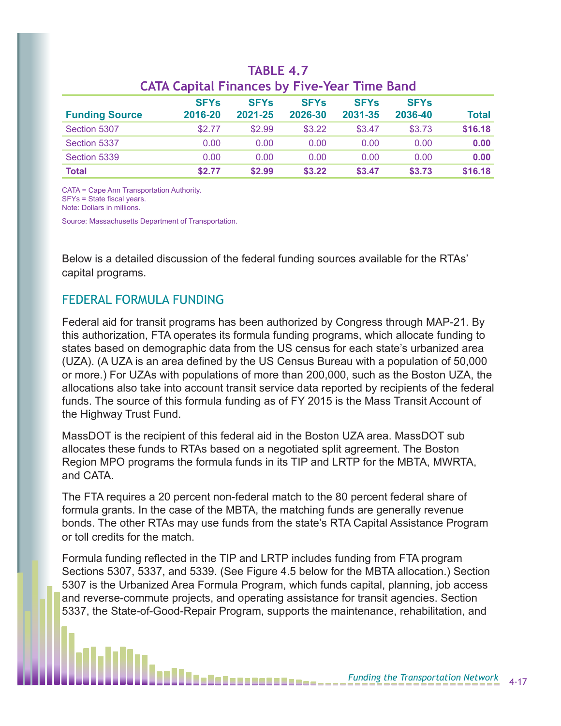| <b>Funding Source</b> | <b>SFYs</b><br>2016-20 | <b>SFYs</b><br>2021-25 | <b>SFYs</b><br>2026-30 | <b>SFYs</b><br>2031-35 | <b>SFYs</b><br>2036-40 | Total   |  |  |
|-----------------------|------------------------|------------------------|------------------------|------------------------|------------------------|---------|--|--|
|                       |                        |                        |                        |                        |                        |         |  |  |
| Section 5307          | \$2.77                 | \$2.99                 | \$3.22                 | \$3.47                 | \$3.73                 | \$16.18 |  |  |
| Section 5337          | 0.00                   | 0.00                   | 0.00                   | 0.00                   | 0.00                   | 0.00    |  |  |
| Section 5339          | 0.00                   | 0.00                   | 0.00                   | 0.00                   | 0.00                   | 0.00    |  |  |
| Total                 | \$2.77                 | \$2.99                 | \$3.22                 | \$3.47                 | \$3.73                 | \$16.18 |  |  |

#### **TABLE 4.7 CATA Capital Finances by Five-Year Time Band**

CATA = Cape Ann Transportation Authority. SFYs = State fiscal years. Note: Dollars in millions.

Source: Massachusetts Department of Transportation.

Below is a detailed discussion of the federal funding sources available for the RTAs' capital programs.

#### FEDERAL FORMULA FUNDING

Federal aid for transit programs has been authorized by Congress through MAP-21. By this authorization, FTA operates its formula funding programs, which allocate funding to states based on demographic data from the US census for each state's urbanized area (UZA). (A UZA is an area defined by the US Census Bureau with a population of 50,000 or more.) For UZAs with populations of more than 200,000, such as the Boston UZA, the allocations also take into account transit service data reported by recipients of the federal funds. The source of this formula funding as of FY 2015 is the Mass Transit Account of the Highway Trust Fund.

MassDOT is the recipient of this federal aid in the Boston UZA area. MassDOT sub allocates these funds to RTAs based on a negotiated split agreement. The Boston Region MPO programs the formula funds in its TIP and LRTP for the MBTA, MWRTA, and CATA.

The FTA requires a 20 percent non-federal match to the 80 percent federal share of formula grants. In the case of the MBTA, the matching funds are generally revenue bonds. The other RTAs may use funds from the state's RTA Capital Assistance Program or toll credits for the match.

Formula funding reflected in the TIP and LRTP includes funding from FTA program Sections 5307, 5337, and 5339. (See Figure 4.5 below for the MBTA allocation.) Section 5307 is the Urbanized Area Formula Program, which funds capital, planning, job access and reverse-commute projects, and operating assistance for transit agencies. Section 5337, the State-of-Good-Repair Program, supports the maintenance, rehabilitation, and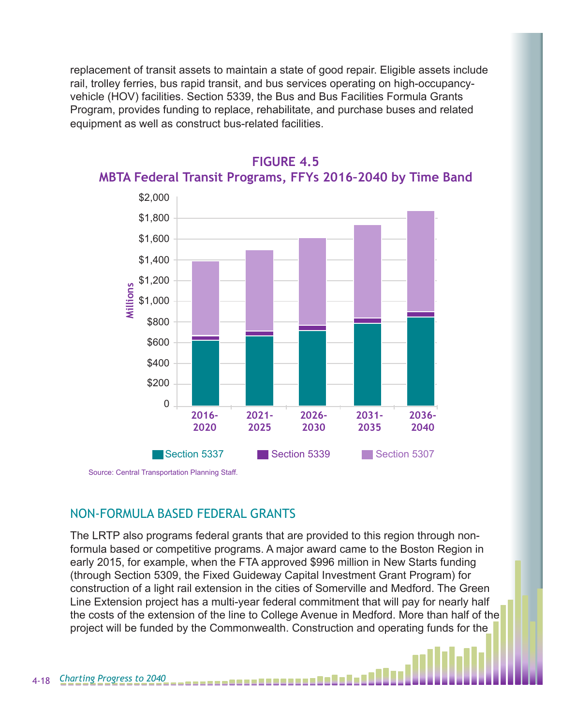replacement of transit assets to maintain a state of good repair. Eligible assets include rail, trolley ferries, bus rapid transit, and bus services operating on high-occupancyvehicle (HOV) facilities. Section 5339, the Bus and Bus Facilities Formula Grants Program, provides funding to replace, rehabilitate, and purchase buses and related equipment as well as construct bus-related facilities.



#### **FIGURE 4.5**

**MBTA Federal Transit Programs, FFYs 2016–2040 by Time Band**

Source: Central Transportation Planning Staff.

#### NON-FORMULA BASED FEDERAL GRANTS

The LRTP also programs federal grants that are provided to this region through nonformula based or competitive programs. A major award came to the Boston Region in early 2015, for example, when the FTA approved \$996 million in New Starts funding (through Section 5309, the Fixed Guideway Capital Investment Grant Program) for construction of a light rail extension in the cities of Somerville and Medford. The Green Line Extension project has a multi-year federal commitment that will pay for nearly half the costs of the extension of the line to College Avenue in Medford. More than half of the project will be funded by the Commonwealth. Construction and operating funds for the

--------------------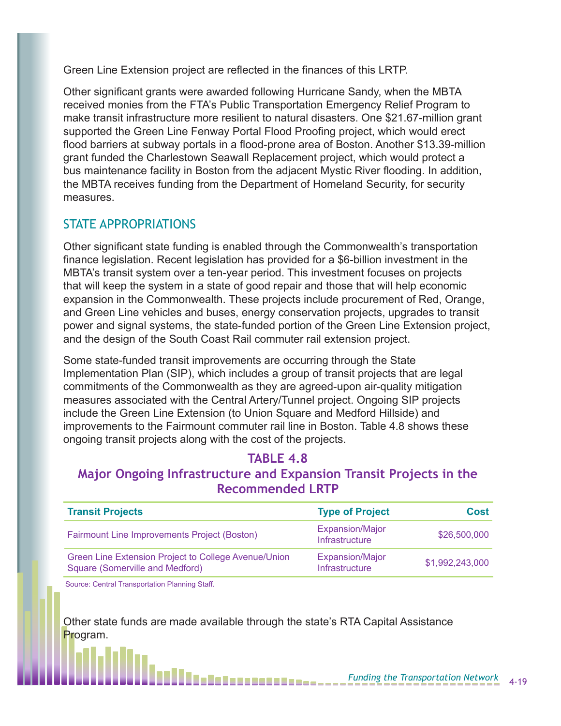Green Line Extension project are reflected in the finances of this LRTP.

Other significant grants were awarded following Hurricane Sandy, when the MBTA received monies from the FTA's Public Transportation Emergency Relief Program to make transit infrastructure more resilient to natural disasters. One \$21.67-million grant supported the Green Line Fenway Portal Flood Proofing project, which would erect flood barriers at subway portals in a flood-prone area of Boston. Another \$13.39-million grant funded the Charlestown Seawall Replacement project, which would protect a bus maintenance facility in Boston from the adjacent Mystic River flooding. In addition, the MBTA receives funding from the Department of Homeland Security, for security measures.

#### STATE APPROPRIATIONS

Other significant state funding is enabled through the Commonwealth's transportation finance legislation. Recent legislation has provided for a \$6-billion investment in the MBTA's transit system over a ten-year period. This investment focuses on projects that will keep the system in a state of good repair and those that will help economic expansion in the Commonwealth. These projects include procurement of Red, Orange, and Green Line vehicles and buses, energy conservation projects, upgrades to transit power and signal systems, the state-funded portion of the Green Line Extension project, and the design of the South Coast Rail commuter rail extension project.

Some state-funded transit improvements are occurring through the State Implementation Plan (SIP), which includes a group of transit projects that are legal commitments of the Commonwealth as they are agreed-upon air-quality mitigation measures associated with the Central Artery/Tunnel project. Ongoing SIP projects include the Green Line Extension (to Union Square and Medford Hillside) and improvements to the Fairmount commuter rail line in Boston. Table 4.8 shows these ongoing transit projects along with the cost of the projects.

#### **TABLE 4.8**

#### **Major Ongoing Infrastructure and Expansion Transit Projects in the Recommended LRTP**

| <b>Transit Projects</b>                                                                 | <b>Type of Project</b>                          | Cost            |
|-----------------------------------------------------------------------------------------|-------------------------------------------------|-----------------|
| Fairmount Line Improvements Project (Boston)                                            | <b>Expansion/Major</b><br>Infrastructure        | \$26,500,000    |
| Green Line Extension Project to College Avenue/Union<br>Square (Somerville and Medford) | <b>Expansion/Major</b><br><b>Infrastructure</b> | \$1,992,243,000 |

Source: Central Transportation Planning Staff.

Other state funds are made available through the state's RTA Capital Assistance Program.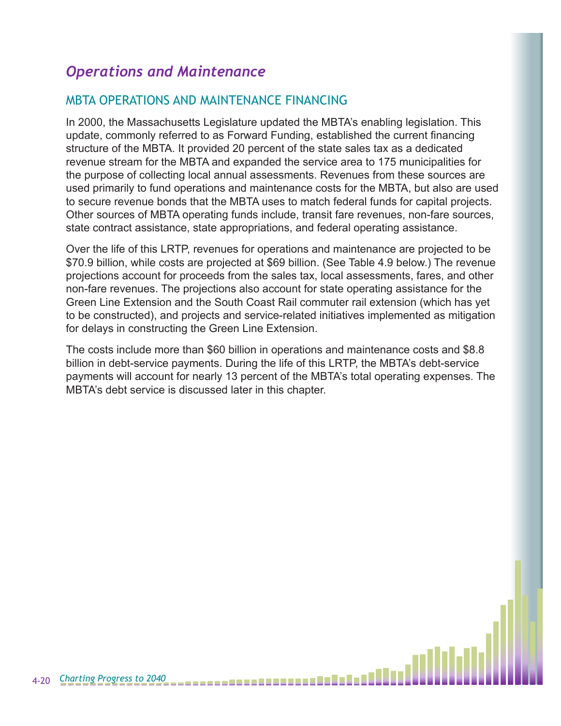# *Operations and Maintenance*

#### MBTA OPERATIONS AND MAINTENANCE FINANCING

In 2000, the Massachusetts Legislature updated the MBTA's enabling legislation. This update, commonly referred to as Forward Funding, established the current financing structure of the MBTA. It provided 20 percent of the state sales tax as a dedicated revenue stream for the MBTA and expanded the service area to 175 municipalities for the purpose of collecting local annual assessments. Revenues from these sources are used primarily to fund operations and maintenance costs for the MBTA, but also are used to secure revenue bonds that the MBTA uses to match federal funds for capital projects. Other sources of MBTA operating funds include, transit fare revenues, non-fare sources, state contract assistance, state appropriations, and federal operating assistance.

Over the life of this LRTP, revenues for operations and maintenance are projected to be \$70.9 billion, while costs are projected at \$69 billion. (See Table 4.9 below.) The revenue projections account for proceeds from the sales tax, local assessments, fares, and other non-fare revenues. The projections also account for state operating assistance for the Green Line Extension and the South Coast Rail commuter rail extension (which has yet to be constructed), and projects and service-related initiatives implemented as mitigation for delays in constructing the Green Line Extension.

The costs include more than \$60 billion in operations and maintenance costs and \$8.8 billion in debt-service payments. During the life of this LRTP, the MBTA's debt-service payments will account for nearly 13 percent of the MBTA's total operating expenses. The MBTA's debt service is discussed later in this chapter.

--------------------------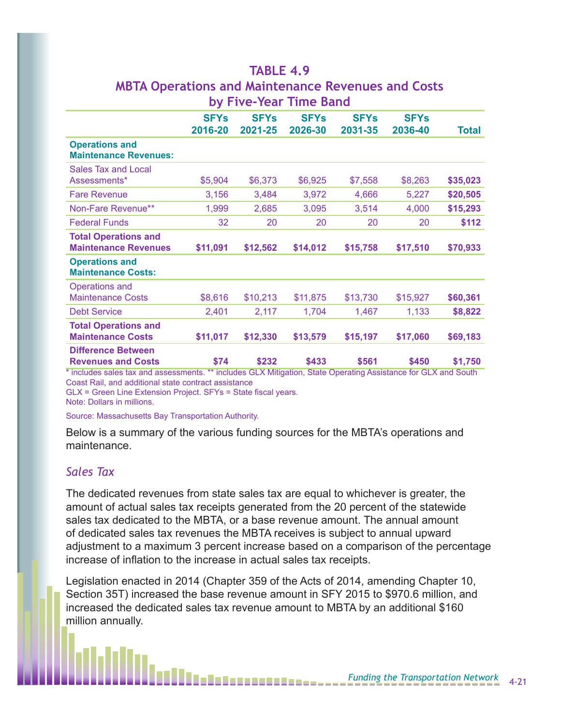|                                                            |                        |                        | by Five-Year Time Band |                        |                        |                                     |
|------------------------------------------------------------|------------------------|------------------------|------------------------|------------------------|------------------------|-------------------------------------|
|                                                            | <b>SFYs</b><br>2016-20 | <b>SFYs</b><br>2021-25 | <b>SFYs</b><br>2026-30 | <b>SFYs</b><br>2031-35 | <b>SFYs</b><br>2036-40 | <b>Total</b>                        |
| <b>Operations and</b><br><b>Maintenance Revenues:</b>      |                        |                        |                        |                        |                        |                                     |
| <b>Sales Tax and Local</b><br>Assessments*                 | \$5,904                | \$6,373                | \$6,925                | \$7,558                | \$8,263                | \$35,023                            |
| <b>Fare Revenue</b>                                        | 3,156                  | 3,484                  | 3,972                  | 4,666                  | 5,227                  | \$20,505                            |
| Non-Fare Revenue**                                         | 1,999                  | 2,685                  | 3,095                  | 3,514                  | 4,000                  | \$15,293                            |
| <b>Federal Funds</b>                                       | 32                     | 20                     | 20                     | 20                     | 20                     | \$112                               |
| <b>Total Operations and</b><br><b>Maintenance Revenues</b> | \$11,091               | \$12,562               | \$14,012               | \$15,758               | \$17,510               | \$70,933                            |
| <b>Operations and</b><br><b>Maintenance Costs:</b>         |                        |                        |                        |                        |                        |                                     |
| Operations and<br><b>Maintenance Costs</b>                 | \$8,616                | \$10,213               | \$11,875               | \$13,730               | \$15,927               | \$60,361                            |
| <b>Debt Service</b>                                        | 2,401                  | 2,117                  | 1,704                  | 1,467                  | 1,133                  | \$8,822                             |
| <b>Total Operations and</b><br><b>Maintenance Costs</b>    | \$11,017               | \$12,330               | \$13,579               | \$15,197               | \$17,060               | \$69,183                            |
| <b>Difference Between</b><br><b>Revenues and Costs</b>     | \$74<br>$44 - 7$       | \$232                  | \$433<br>$\sim$ $\sim$ | \$561                  | \$450<br>$\sim$ $\sim$ | \$1,750<br>$\overline{\phantom{0}}$ |

# **TABLE 4.9 MBTA Operations and Maintenance Revenues and Costs**

\* includes sales tax and assessments. \*\* includes GLX Mitigation, State Operating Assistance for GLX and South Coast Rail, and additional state contract assistance

GLX = Green Line Extension Project. SFYs = State fiscal years.

Note: Dollars in millions.

Source: Massachusetts Bay Transportation Authority.

Below is a summary of the various funding sources for the MBTA's operations and maintenance.

#### *Sales Tax*

The dedicated revenues from state sales tax are equal to whichever is greater, the amount of actual sales tax receipts generated from the 20 percent of the statewide sales tax dedicated to the MBTA, or a base revenue amount. The annual amount of dedicated sales tax revenues the MBTA receives is subject to annual upward adjustment to a maximum 3 percent increase based on a comparison of the percentage increase of inflation to the increase in actual sales tax receipts.

Legislation enacted in 2014 (Chapter 359 of the Acts of 2014, amending Chapter 10, Section 35T) increased the base revenue amount in SFY 2015 to \$970.6 million, and increased the dedicated sales tax revenue amount to MBTA by an additional \$160 million annually.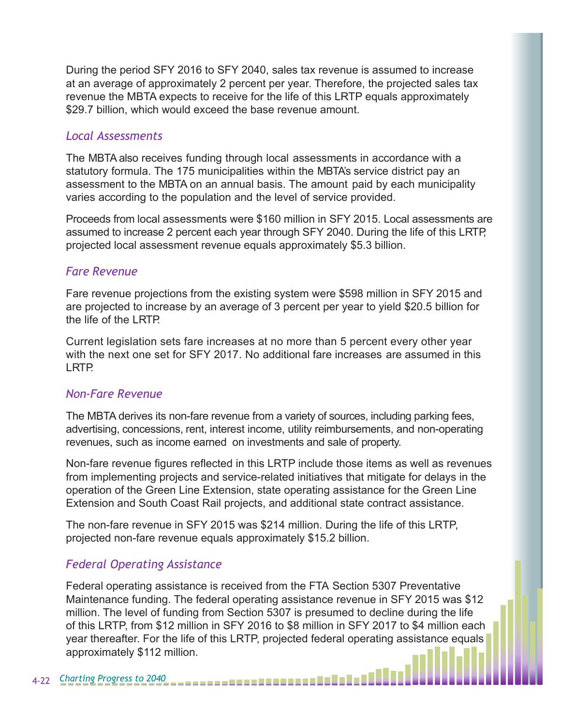During the period SFY 2016 to SFY 2040, sales tax revenue is assumed to increase at an average of approximately 2 percent per year. Therefore, the projected sales tax revenue the MBTA expects to receive for the life of this LRTP equals approximately \$29.7 billion, which would exceed the base revenue amount.

#### *Local Assessments*

The MBTA also receives funding through local assessments in accordance with a statutory formula. The 175 municipalities within the MBTA's service district pay an assessment to the MBTA on an annual basis. The amount paid by each municipality varies according to the population and the level of service provided.

Proceeds from local assessments were \$160 million in SFY 2015. Local assessments are assumed to increase 2 percent each year through SFY 2040. During the life of this LRTP, projected local assessment revenue equals approximately \$5.3 billion.

#### *Fare Revenue*

Fare revenue projections from the existing system were \$598 million in SFY 2015 and are projected to increase by an average of 3 percent per year to yield \$20.5 billion for the life of the LRTP.

Current legislation sets fare increases at no more than 5 percent every other year with the next one set for SFY 2017. No additional fare increases are assumed in this LRTP.

#### *Non-Fare Revenue*

The MBTA derives its non-fare revenue from a variety of sources, including parking fees, advertising, concessions, rent, interest income, utility reimbursements, and non-operating revenues, such as income earned on investments and sale of property.

Non-fare revenue figures reflected in this LRTP include those items as well as revenues from implementing projects and service-related initiatives that mitigate for delays in the operation of the Green Line Extension, state operating assistance for the Green Line Extension and South Coast Rail projects, and additional state contract assistance.

The non-fare revenue in SFY 2015 was \$214 million. During the life of this LRTP, projected non-fare revenue equals approximately \$15.2 billion.

#### *Federal Operating Assistance*

Federal operating assistance is received from the FTA Section 5307 Preventative Maintenance funding. The federal operating assistance revenue in SFY 2015 was \$12 million. The level of funding from Section 5307 is presumed to decline during the life of this LRTP, from \$12 million in SFY 2016 to \$8 million in SFY 2017 to \$4 million each year thereafter. For the life of this LRTP, projected federal operating assistance equals approximately \$112 million.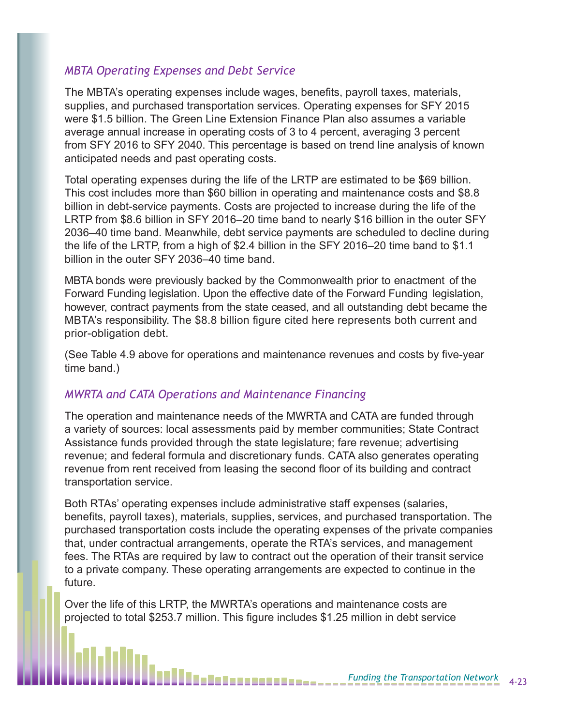#### *MBTA Operating Expenses and Debt Service*

The MBTA's operating expenses include wages, benefits, payroll taxes, materials, supplies, and purchased transportation services. Operating expenses for SFY 2015 were \$1.5 billion. The Green Line Extension Finance Plan also assumes a variable average annual increase in operating costs of 3 to 4 percent, averaging 3 percent from SFY 2016 to SFY 2040. This percentage is based on trend line analysis of known anticipated needs and past operating costs.

Total operating expenses during the life of the LRTP are estimated to be \$69 billion. This cost includes more than \$60 billion in operating and maintenance costs and \$8.8 billion in debt-service payments. Costs are projected to increase during the life of the LRTP from \$8.6 billion in SFY 2016–20 time band to nearly \$16 billion in the outer SFY 2036–40 time band. Meanwhile, debt service payments are scheduled to decline during the life of the LRTP, from a high of \$2.4 billion in the SFY 2016–20 time band to \$1.1 billion in the outer SFY 2036–40 time band.

MBTA bonds were previously backed by the Commonwealth prior to enactment of the Forward Funding legislation. Upon the effective date of the Forward Funding legislation, however, contract payments from the state ceased, and all outstanding debt became the MBTA's responsibility. The \$8.8 billion figure cited here represents both current and prior-obligation debt.

(See Table 4.9 above for operations and maintenance revenues and costs by five-year time band.)

#### *MWRTA and CATA Operations and Maintenance Financing*

The operation and maintenance needs of the MWRTA and CATA are funded through a variety of sources: local assessments paid by member communities; State Contract Assistance funds provided through the state legislature; fare revenue; advertising revenue; and federal formula and discretionary funds. CATA also generates operating revenue from rent received from leasing the second floor of its building and contract transportation service.

Both RTAs' operating expenses include administrative staff expenses (salaries, benefits, payroll taxes), materials, supplies, services, and purchased transportation. The purchased transportation costs include the operating expenses of the private companies that, under contractual arrangements, operate the RTA's services, and management fees. The RTAs are required by law to contract out the operation of their transit service to a private company. These operating arrangements are expected to continue in the future.

Over the life of this LRTP, the MWRTA's operations and maintenance costs are projected to total \$253.7 million. This figure includes \$1.25 million in debt service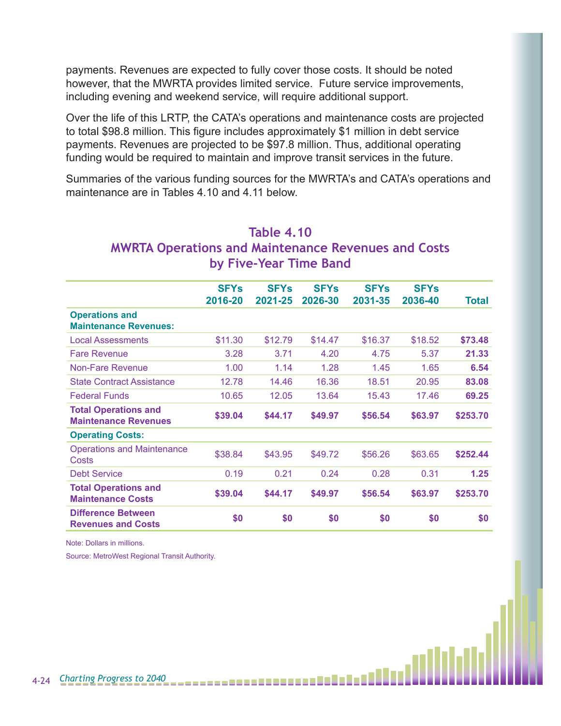payments. Revenues are expected to fully cover those costs. It should be noted however, that the MWRTA provides limited service. Future service improvements, including evening and weekend service, will require additional support.

Over the life of this LRTP, the CATA's operations and maintenance costs are projected to total \$98.8 million. This figure includes approximately \$1 million in debt service payments. Revenues are projected to be \$97.8 million. Thus, additional operating funding would be required to maintain and improve transit services in the future.

Summaries of the various funding sources for the MWRTA's and CATA's operations and maintenance are in Tables 4.10 and 4.11 below.

|                                                            | <b>SFYs</b><br>2016-20 | <b>SFYs</b><br>2021-25 | <b>SFYs</b><br>2026-30 | <b>SFYs</b><br>2031-35 | <b>SFYs</b><br>2036-40 | Total    |
|------------------------------------------------------------|------------------------|------------------------|------------------------|------------------------|------------------------|----------|
| <b>Operations and</b><br><b>Maintenance Revenues:</b>      |                        |                        |                        |                        |                        |          |
| <b>Local Assessments</b>                                   | \$11.30                | \$12.79                | \$14.47                | \$16.37                | \$18.52                | \$73.48  |
| <b>Fare Revenue</b>                                        | 3.28                   | 3.71                   | 4.20                   | 4.75                   | 5.37                   | 21.33    |
| Non-Fare Revenue                                           | 1.00                   | 1.14                   | 1.28                   | 1.45                   | 1.65                   | 6.54     |
| <b>State Contract Assistance</b>                           | 12.78                  | 14.46                  | 16.36                  | 18.51                  | 20.95                  | 83.08    |
| <b>Federal Funds</b>                                       | 10.65                  | 12.05                  | 13.64                  | 15.43                  | 17.46                  | 69.25    |
| <b>Total Operations and</b><br><b>Maintenance Revenues</b> | \$39.04                | \$44.17                | \$49.97                | \$56.54                | \$63.97                | \$253.70 |
| <b>Operating Costs:</b>                                    |                        |                        |                        |                        |                        |          |
| <b>Operations and Maintenance</b><br>Costs                 | \$38.84                | \$43.95                | \$49.72                | \$56.26                | \$63.65                | \$252.44 |
| <b>Debt Service</b>                                        | 0.19                   | 0.21                   | 0.24                   | 0.28                   | 0.31                   | 1.25     |
| <b>Total Operations and</b><br><b>Maintenance Costs</b>    | \$39.04                | \$44.17                | \$49.97                | \$56.54                | \$63.97                | \$253.70 |
| <b>Difference Between</b><br><b>Revenues and Costs</b>     | \$0                    | \$0                    | \$0                    | \$0                    | \$0                    | \$0      |

## **MWRTA Operations and Maintenance Revenues and Costs**

**Table 4.10**

**by Five-Year Time Band**

Note: Dollars in millions.

Source: MetroWest Regional Transit Authority.